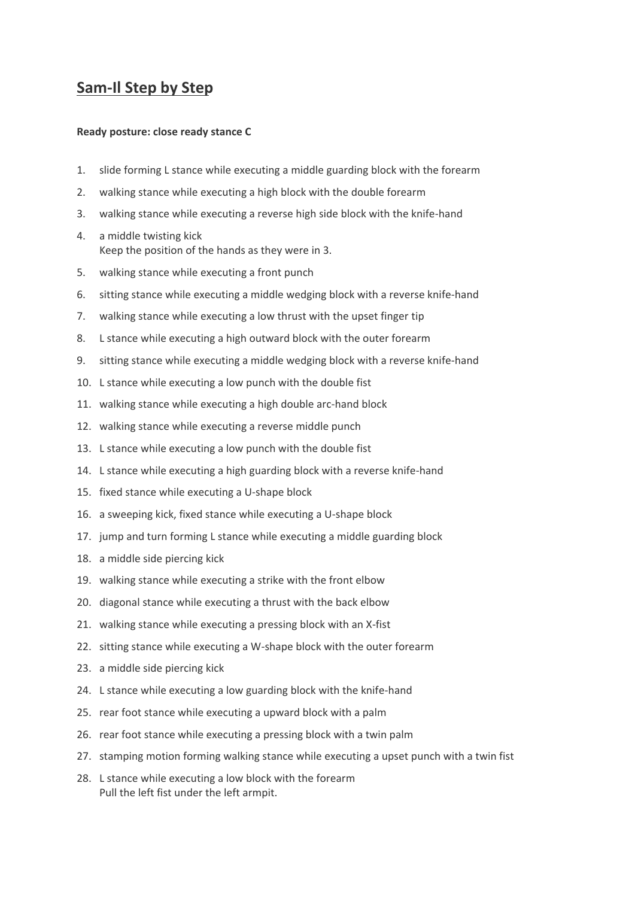## **Sam-Il Step by Step**

## **Ready posture: close ready stance C**

- 1. slide forming L stance while executing a middle guarding block with the forearm
- 2. walking stance while executing a high block with the double forearm
- 3. walking stance while executing a reverse high side block with the knife-hand
- 4. a middle twisting kick Keep the position of the hands as they were in 3.
- 5. walking stance while executing a front punch
- 6. sitting stance while executing a middle wedging block with a reverse knife-hand
- 7. walking stance while executing a low thrust with the upset finger tip
- 8. L stance while executing a high outward block with the outer forearm
- 9. sitting stance while executing a middle wedging block with a reverse knife-hand
- 10. L stance while executing a low punch with the double fist
- 11. walking stance while executing a high double arc-hand block
- 12. walking stance while executing a reverse middle punch
- 13. L stance while executing a low punch with the double fist
- 14. L stance while executing a high guarding block with a reverse knife-hand
- 15. fixed stance while executing a U-shape block
- 16. a sweeping kick, fixed stance while executing a U-shape block
- 17. jump and turn forming L stance while executing a middle guarding block
- 18. a middle side piercing kick
- 19. walking stance while executing a strike with the front elbow
- 20. diagonal stance while executing a thrust with the back elbow
- 21. walking stance while executing a pressing block with an X-fist
- 22. sitting stance while executing a W-shape block with the outer forearm
- 23. a middle side piercing kick
- 24. L stance while executing a low guarding block with the knife-hand
- 25. rear foot stance while executing a upward block with a palm
- 26. rear foot stance while executing a pressing block with a twin palm
- 27. stamping motion forming walking stance while executing a upset punch with a twin fist
- 28. L stance while executing a low block with the forearm Pull the left fist under the left armpit.